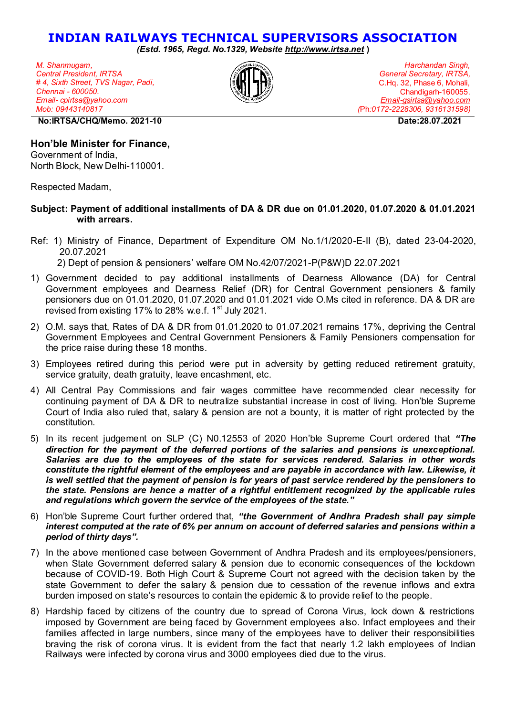## **INDIAN RAILWAYS TECHNICAL SUPERVISORS ASSOCIATION**

*(Estd. 1965, Regd. No.1329, Website [http://www.irtsa.net](http://www.irtsa.net/)* **)** 

*M. Shanmugam, Central President, IRTSA # 4, Sixth Street, TVS Nagar, Padi, Chennai - 600050. Email- cpirtsa@yahoo.com Mob: 09443140817*



*Harchandan Singh, General Secretary, IRTSA,*  C.Hq. 32, Phase 6, Mohali, Chandigarh-160055. *[Email-gsirtsa@yahoo.com](mailto:Email-gsirtsa@yahoo.com)  (*Ph*:0172-2228306, 9316131598)*

 **No:IRTSA/CHQ/Memo. 2021-10 Date:28.07.2021** 

## **Hon'ble Minister for Finance,**

Government of India, North Block, New Delhi-110001.

Respected Madam,

## **Subject: Payment of additional installments of DA & DR due on 01.01.2020, 01.07.2020 & 01.01.2021 with arrears.**

- Ref: 1) Ministry of Finance, Department of Expenditure OM No.1/1/2020-E-II (B), dated 23-04-2020, 20.07.2021 2) Dept of pension & pensioners' welfare OM No.42/07/2021-P(P&W)D 22.07.2021
- 1) Government decided to pay additional installments of Dearness Allowance (DA) for Central Government employees and Dearness Relief (DR) for Central Government pensioners & family pensioners due on 01.01.2020, 01.07.2020 and 01.01.2021 vide O.Ms cited in reference. DA & DR are revised from existing 17% to 28% w.e.f.  $1<sup>st</sup>$  July 2021.
- 2) O.M. says that, Rates of DA & DR from 01.01.2020 to 01.07.2021 remains 17%, depriving the Central Government Employees and Central Government Pensioners & Family Pensioners compensation for the price raise during these 18 months.
- 3) Employees retired during this period were put in adversity by getting reduced retirement gratuity, service gratuity, death gratuity, leave encashment, etc.
- 4) All Central Pay Commissions and fair wages committee have recommended clear necessity for continuing payment of DA & DR to neutralize substantial increase in cost of living. Hon'ble Supreme Court of India also ruled that, salary & pension are not a bounty, it is matter of right protected by the constitution.
- 5) In its recent judgement on SLP (C) N0.12553 of 2020 Hon'ble Supreme Court ordered that *"The direction for the payment of the deferred portions of the salaries and pensions is unexceptional. Salaries are due to the employees of the state for services rendered. Salaries in other words constitute the rightful element of the employees and are payable in accordance with law. Likewise, it is well settled that the payment of pension is for years of past service rendered by the pensioners to the state. Pensions are hence a matter of a rightful entitlement recognized by the applicable rules and regulations which govern the service of the employees of the state."*
- 6) Hon'ble Supreme Court further ordered that, *"the Government of Andhra Pradesh shall pay simple interest computed at the rate of 6% per annum on account of deferred salaries and pensions within a period of thirty days".*
- 7) In the above mentioned case between Government of Andhra Pradesh and its employees/pensioners, when State Government deferred salary & pension due to economic consequences of the lockdown because of COVID-19. Both High Court & Supreme Court not agreed with the decision taken by the state Government to defer the salary & pension due to cessation of the revenue inflows and extra burden imposed on state's resources to contain the epidemic & to provide relief to the people.
- 8) Hardship faced by citizens of the country due to spread of Corona Virus, lock down & restrictions imposed by Government are being faced by Government employees also. Infact employees and their families affected in large numbers, since many of the employees have to deliver their responsibilities braving the risk of corona virus. It is evident from the fact that nearly 1.2 lakh employees of Indian Railways were infected by corona virus and 3000 employees died due to the virus.